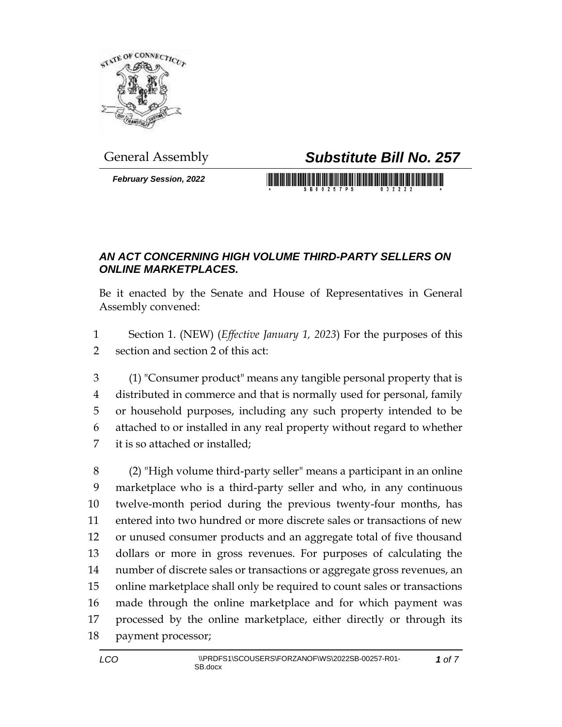

*February Session, 2022*

## General Assembly *Substitute Bill No. 257*

<u> 1989 - Johann Maria Maria Maria Maria Maria Maria Maria Maria Maria Maria Maria Maria Maria Maria Maria Mari</u>

## *AN ACT CONCERNING HIGH VOLUME THIRD-PARTY SELLERS ON ONLINE MARKETPLACES.*

Be it enacted by the Senate and House of Representatives in General Assembly convened:

 Section 1. (NEW) (*Effective January 1, 2023*) For the purposes of this section and section 2 of this act:

 (1) "Consumer product" means any tangible personal property that is distributed in commerce and that is normally used for personal, family or household purposes, including any such property intended to be attached to or installed in any real property without regard to whether it is so attached or installed;

 (2) "High volume third-party seller" means a participant in an online marketplace who is a third-party seller and who, in any continuous twelve-month period during the previous twenty-four months, has entered into two hundred or more discrete sales or transactions of new or unused consumer products and an aggregate total of five thousand dollars or more in gross revenues. For purposes of calculating the number of discrete sales or transactions or aggregate gross revenues, an online marketplace shall only be required to count sales or transactions made through the online marketplace and for which payment was processed by the online marketplace, either directly or through its payment processor;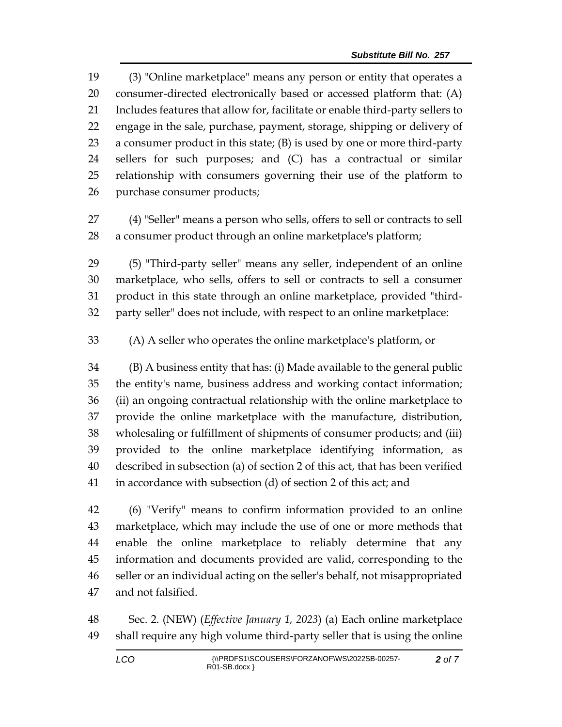(3) "Online marketplace" means any person or entity that operates a consumer-directed electronically based or accessed platform that: (A) Includes features that allow for, facilitate or enable third-party sellers to engage in the sale, purchase, payment, storage, shipping or delivery of a consumer product in this state; (B) is used by one or more third-party sellers for such purposes; and (C) has a contractual or similar relationship with consumers governing their use of the platform to purchase consumer products;

 (4) "Seller" means a person who sells, offers to sell or contracts to sell a consumer product through an online marketplace's platform;

 (5) "Third-party seller" means any seller, independent of an online marketplace, who sells, offers to sell or contracts to sell a consumer product in this state through an online marketplace, provided "third-party seller" does not include, with respect to an online marketplace:

(A) A seller who operates the online marketplace's platform, or

 (B) A business entity that has: (i) Made available to the general public the entity's name, business address and working contact information; (ii) an ongoing contractual relationship with the online marketplace to provide the online marketplace with the manufacture, distribution, wholesaling or fulfillment of shipments of consumer products; and (iii) provided to the online marketplace identifying information, as described in subsection (a) of section 2 of this act, that has been verified in accordance with subsection (d) of section 2 of this act; and

 (6) "Verify" means to confirm information provided to an online marketplace, which may include the use of one or more methods that enable the online marketplace to reliably determine that any information and documents provided are valid, corresponding to the seller or an individual acting on the seller's behalf, not misappropriated and not falsified.

 Sec. 2. (NEW) (*Effective January 1, 2023*) (a) Each online marketplace shall require any high volume third-party seller that is using the online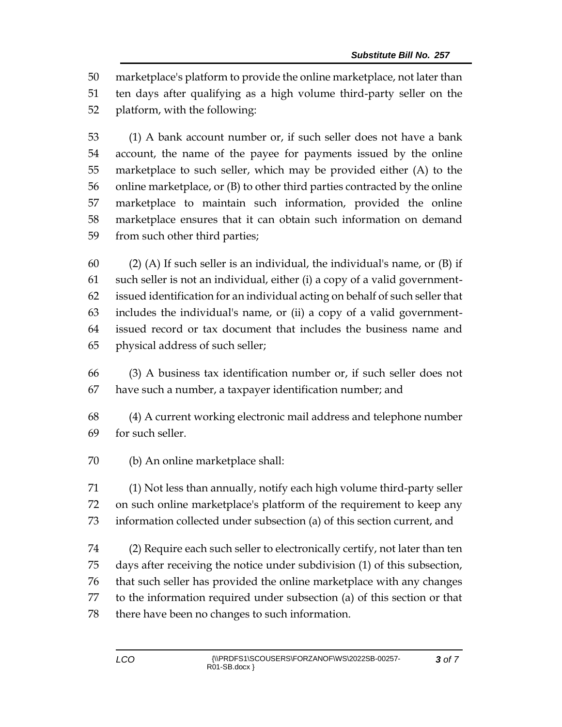marketplace's platform to provide the online marketplace, not later than ten days after qualifying as a high volume third-party seller on the platform, with the following:

 (1) A bank account number or, if such seller does not have a bank account, the name of the payee for payments issued by the online marketplace to such seller, which may be provided either (A) to the online marketplace, or (B) to other third parties contracted by the online marketplace to maintain such information, provided the online marketplace ensures that it can obtain such information on demand from such other third parties;

 (2) (A) If such seller is an individual, the individual's name, or (B) if such seller is not an individual, either (i) a copy of a valid government- issued identification for an individual acting on behalf of such seller that includes the individual's name, or (ii) a copy of a valid government- issued record or tax document that includes the business name and physical address of such seller;

 (3) A business tax identification number or, if such seller does not have such a number, a taxpayer identification number; and

 (4) A current working electronic mail address and telephone number for such seller.

(b) An online marketplace shall:

 (1) Not less than annually, notify each high volume third-party seller on such online marketplace's platform of the requirement to keep any information collected under subsection (a) of this section current, and

 (2) Require each such seller to electronically certify, not later than ten days after receiving the notice under subdivision (1) of this subsection, that such seller has provided the online marketplace with any changes to the information required under subsection (a) of this section or that there have been no changes to such information.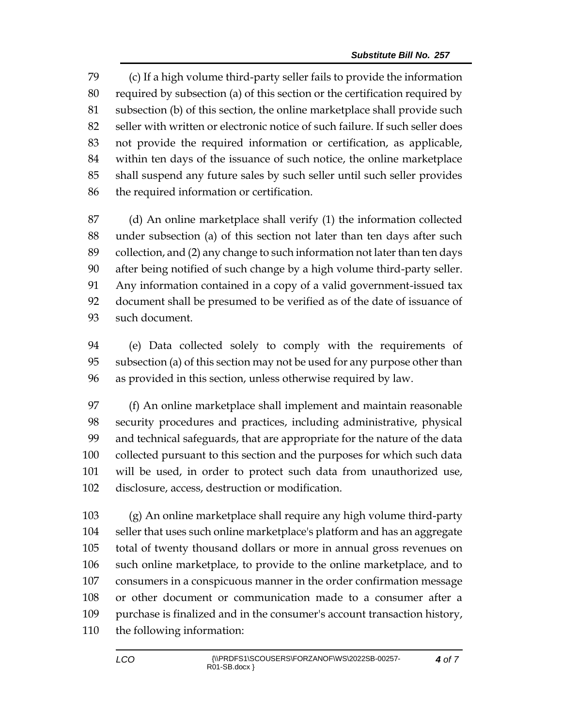(c) If a high volume third-party seller fails to provide the information required by subsection (a) of this section or the certification required by subsection (b) of this section, the online marketplace shall provide such seller with written or electronic notice of such failure. If such seller does not provide the required information or certification, as applicable, within ten days of the issuance of such notice, the online marketplace shall suspend any future sales by such seller until such seller provides the required information or certification.

 (d) An online marketplace shall verify (1) the information collected under subsection (a) of this section not later than ten days after such collection, and (2) any change to such information not later than ten days after being notified of such change by a high volume third-party seller. Any information contained in a copy of a valid government-issued tax document shall be presumed to be verified as of the date of issuance of such document.

 (e) Data collected solely to comply with the requirements of subsection (a) of this section may not be used for any purpose other than as provided in this section, unless otherwise required by law.

 (f) An online marketplace shall implement and maintain reasonable security procedures and practices, including administrative, physical and technical safeguards, that are appropriate for the nature of the data collected pursuant to this section and the purposes for which such data will be used, in order to protect such data from unauthorized use, disclosure, access, destruction or modification.

 (g) An online marketplace shall require any high volume third-party seller that uses such online marketplace's platform and has an aggregate total of twenty thousand dollars or more in annual gross revenues on such online marketplace, to provide to the online marketplace, and to consumers in a conspicuous manner in the order confirmation message or other document or communication made to a consumer after a purchase is finalized and in the consumer's account transaction history, the following information: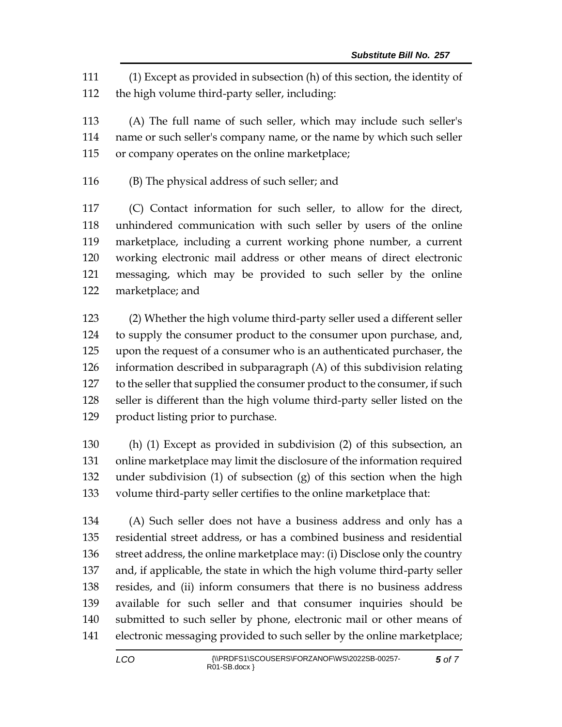(1) Except as provided in subsection (h) of this section, the identity of the high volume third-party seller, including:

 (A) The full name of such seller, which may include such seller's name or such seller's company name, or the name by which such seller or company operates on the online marketplace;

(B) The physical address of such seller; and

 (C) Contact information for such seller, to allow for the direct, unhindered communication with such seller by users of the online marketplace, including a current working phone number, a current working electronic mail address or other means of direct electronic messaging, which may be provided to such seller by the online marketplace; and

 (2) Whether the high volume third-party seller used a different seller to supply the consumer product to the consumer upon purchase, and, upon the request of a consumer who is an authenticated purchaser, the information described in subparagraph (A) of this subdivision relating 127 to the seller that supplied the consumer product to the consumer, if such seller is different than the high volume third-party seller listed on the product listing prior to purchase.

 (h) (1) Except as provided in subdivision (2) of this subsection, an online marketplace may limit the disclosure of the information required under subdivision (1) of subsection (g) of this section when the high volume third-party seller certifies to the online marketplace that:

 (A) Such seller does not have a business address and only has a residential street address, or has a combined business and residential street address, the online marketplace may: (i) Disclose only the country and, if applicable, the state in which the high volume third-party seller resides, and (ii) inform consumers that there is no business address available for such seller and that consumer inquiries should be submitted to such seller by phone, electronic mail or other means of electronic messaging provided to such seller by the online marketplace;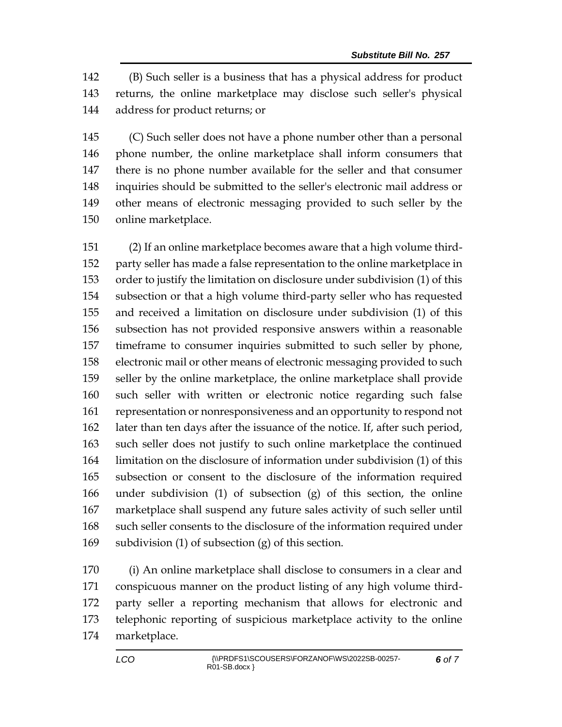(B) Such seller is a business that has a physical address for product returns, the online marketplace may disclose such seller's physical address for product returns; or

 (C) Such seller does not have a phone number other than a personal phone number, the online marketplace shall inform consumers that there is no phone number available for the seller and that consumer inquiries should be submitted to the seller's electronic mail address or other means of electronic messaging provided to such seller by the online marketplace.

 (2) If an online marketplace becomes aware that a high volume third- party seller has made a false representation to the online marketplace in order to justify the limitation on disclosure under subdivision (1) of this subsection or that a high volume third-party seller who has requested and received a limitation on disclosure under subdivision (1) of this subsection has not provided responsive answers within a reasonable timeframe to consumer inquiries submitted to such seller by phone, electronic mail or other means of electronic messaging provided to such seller by the online marketplace, the online marketplace shall provide such seller with written or electronic notice regarding such false representation or nonresponsiveness and an opportunity to respond not later than ten days after the issuance of the notice. If, after such period, such seller does not justify to such online marketplace the continued limitation on the disclosure of information under subdivision (1) of this subsection or consent to the disclosure of the information required under subdivision (1) of subsection (g) of this section, the online marketplace shall suspend any future sales activity of such seller until such seller consents to the disclosure of the information required under subdivision (1) of subsection (g) of this section.

 (i) An online marketplace shall disclose to consumers in a clear and conspicuous manner on the product listing of any high volume third- party seller a reporting mechanism that allows for electronic and telephonic reporting of suspicious marketplace activity to the online marketplace.